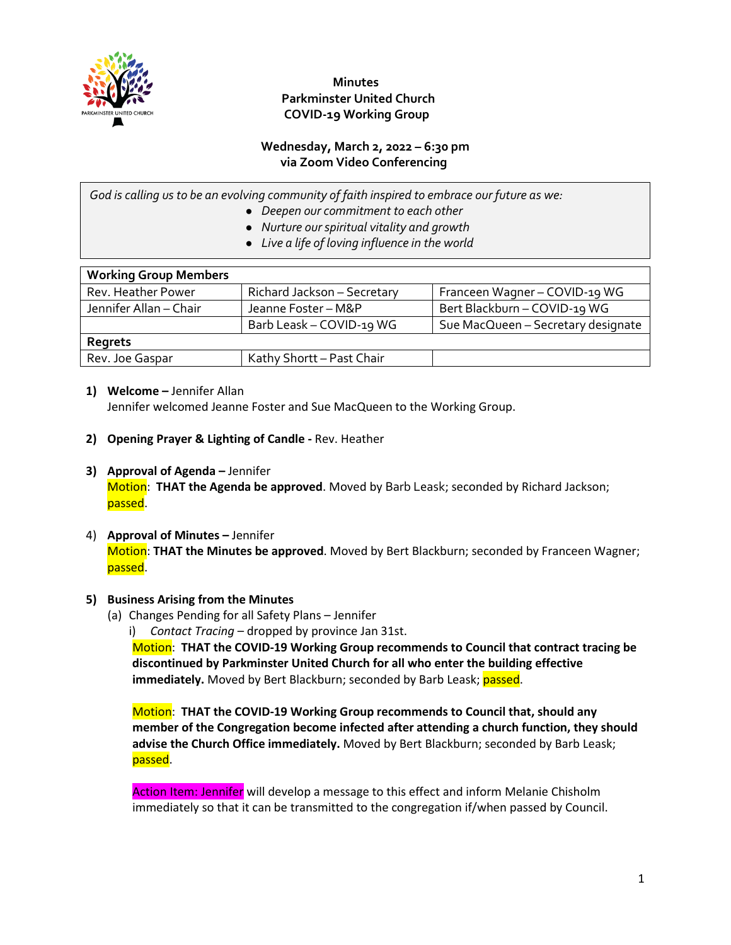

#### **Minutes Parkminster United Church COVID-19 Working Group**

#### **Wednesday, March 2, 2022 – 6:30 pm via Zoom Video Conferencing**

*God is calling us to be an evolving community of faith inspired to embrace our future as we:*

- *Deepen our commitment to each other*
- *Nurture our spiritual vitality and growth*
- *Live a life of loving influence in the world*

| <b>Working Group Members</b> |                             |                                    |
|------------------------------|-----------------------------|------------------------------------|
| Rev. Heather Power           | Richard Jackson - Secretary | Franceen Wagner - COVID-19 WG      |
| Jennifer Allan - Chair       | Jeanne Foster - M&P         | Bert Blackburn - COVID-19 WG       |
|                              | Barb Leask - COVID-19 WG    | Sue MacQueen - Secretary designate |
| Regrets                      |                             |                                    |
| Rev. Joe Gaspar              | Kathy Shortt - Past Chair   |                                    |

#### **1) Welcome –** Jennifer Allan

Jennifer welcomed Jeanne Foster and Sue MacQueen to the Working Group.

- **2) Opening Prayer & Lighting of Candle -** Rev. Heather
- **3) Approval of Agenda –** Jennifer Motion: **THAT the Agenda be approved**. Moved by Barb Leask; seconded by Richard Jackson; passed.

#### 4) **Approval of Minutes –** Jennifer Motion: **THAT the Minutes be approved**. Moved by Bert Blackburn; seconded by Franceen Wagner; passed.

#### **5) Business Arising from the Minutes**

- (a) Changes Pending for all Safety Plans Jennifer
	- i) *Contact Tracing* dropped by province Jan 31st.

Motion: **THAT the COVID-19 Working Group recommends to Council that contract tracing be discontinued by Parkminster United Church for all who enter the building effective immediately.** Moved by Bert Blackburn; seconded by Barb Leask; passed.

Motion: **THAT the COVID-19 Working Group recommends to Council that, should any member of the Congregation become infected after attending a church function, they should advise the Church Office immediately.** Moved by Bert Blackburn; seconded by Barb Leask; passed.

Action Item: Jennifer will develop a message to this effect and inform Melanie Chisholm immediately so that it can be transmitted to the congregation if/when passed by Council.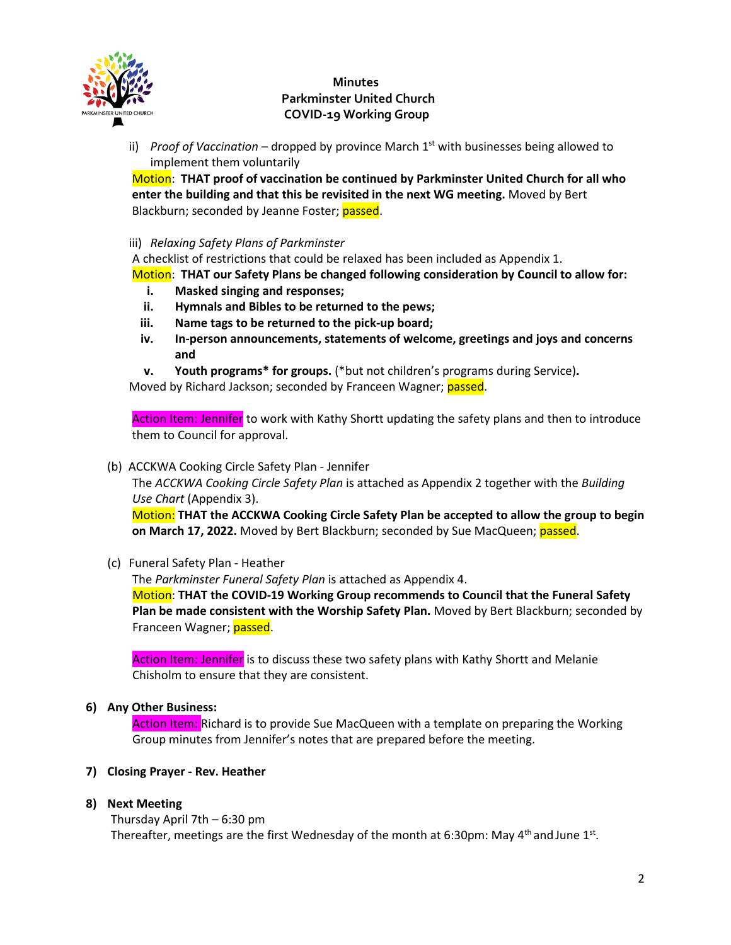

## **Minutes Parkminster United Church COVID-19 Working Group**

ii) *Proof of Vaccination* – dropped by province March 1<sup>st</sup> with businesses being allowed to implement them voluntarily

Motion: **THAT proof of vaccination be continued by Parkminster United Church for all who enter the building and that this be revisited in the next WG meeting.** Moved by Bert Blackburn; seconded by Jeanne Foster; passed.

iii) *Relaxing Safety Plans of Parkminster*

A checklist of restrictions that could be relaxed has been included as Appendix 1.

Motion: **THAT our Safety Plans be changed following consideration by Council to allow for:**

- **i. Masked singing and responses;**
- **ii. Hymnals and Bibles to be returned to the pews;**
- **iii. Name tags to be returned to the pick-up board;**
- **iv. In-person announcements, statements of welcome, greetings and joys and concerns and**
- **v. Youth programs\* for groups.** (\*but not children's programs during Service)**.**

Moved by Richard Jackson; seconded by Franceen Wagner; passed.

Action Item: Jennifer to work with Kathy Shortt updating the safety plans and then to introduce them to Council for approval.

(b) ACCKWA Cooking Circle Safety Plan - Jennifer

The *ACCKWA Cooking Circle Safety Plan* is attached as Appendix 2 together with the *Building Use Chart* (Appendix 3).

Motion: **THAT the ACCKWA Cooking Circle Safety Plan be accepted to allow the group to begin on March 17, 2022.** Moved by Bert Blackburn; seconded by Sue MacQueen; passed.

(c) Funeral Safety Plan - Heather

The *Parkminster Funeral Safety Plan* is attached as Appendix 4. Motion: **THAT the COVID-19 Working Group recommends to Council that the Funeral Safety Plan be made consistent with the Worship Safety Plan.** Moved by Bert Blackburn; seconded by Franceen Wagner; passed.

Action Item: Jennifer is to discuss these two safety plans with Kathy Shortt and Melanie Chisholm to ensure that they are consistent.

#### **6) Any Other Business:**

Action Item: Richard is to provide Sue MacQueen with a template on preparing the Working Group minutes from Jennifer's notes that are prepared before the meeting.

#### **7) Closing Prayer - Rev. Heather**

#### **8) Next Meeting**

Thursday April 7th – 6:30 pm Thereafter, meetings are the first Wednesday of the month at 6:30pm: May  $4<sup>th</sup>$  and June  $1<sup>st</sup>$ .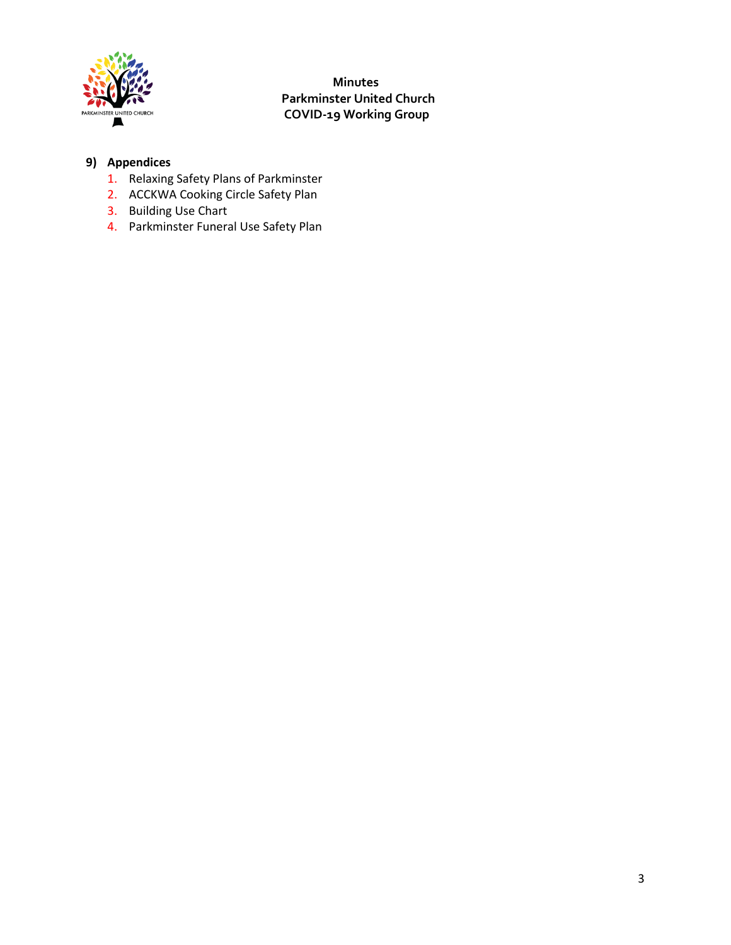

 **Minutes Parkminster United Church COVID-19 Working Group**

# **9) Appendices**

- 1. Relaxing Safety Plans of Parkminster
- 2. ACCKWA Cooking Circle Safety Plan
- 3. Building Use Chart
- 4. Parkminster Funeral Use Safety Plan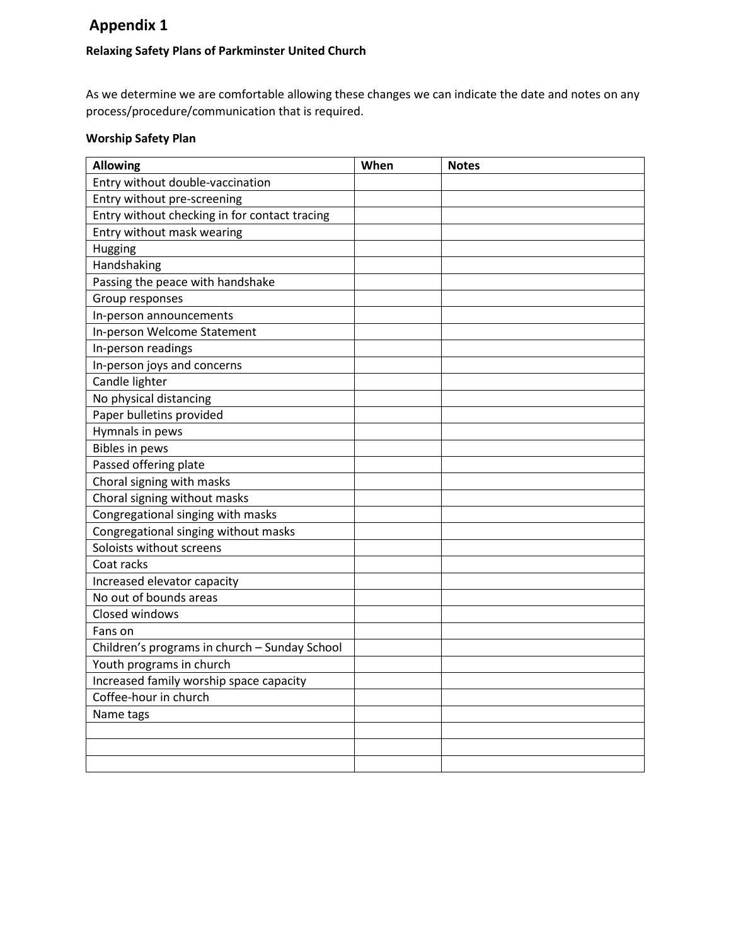# **Appendix 1**

## **Relaxing Safety Plans of Parkminster United Church**

As we determine we are comfortable allowing these changes we can indicate the date and notes on any process/procedure/communication that is required.

## **Worship Safety Plan**

| <b>Allowing</b>                               | When | <b>Notes</b> |
|-----------------------------------------------|------|--------------|
| Entry without double-vaccination              |      |              |
| Entry without pre-screening                   |      |              |
| Entry without checking in for contact tracing |      |              |
| Entry without mask wearing                    |      |              |
| Hugging                                       |      |              |
| Handshaking                                   |      |              |
| Passing the peace with handshake              |      |              |
| Group responses                               |      |              |
| In-person announcements                       |      |              |
| In-person Welcome Statement                   |      |              |
| In-person readings                            |      |              |
| In-person joys and concerns                   |      |              |
| Candle lighter                                |      |              |
| No physical distancing                        |      |              |
| Paper bulletins provided                      |      |              |
| Hymnals in pews                               |      |              |
| <b>Bibles in pews</b>                         |      |              |
| Passed offering plate                         |      |              |
| Choral signing with masks                     |      |              |
| Choral signing without masks                  |      |              |
| Congregational singing with masks             |      |              |
| Congregational singing without masks          |      |              |
| Soloists without screens                      |      |              |
| Coat racks                                    |      |              |
| Increased elevator capacity                   |      |              |
| No out of bounds areas                        |      |              |
| Closed windows                                |      |              |
| Fans on                                       |      |              |
| Children's programs in church - Sunday School |      |              |
| Youth programs in church                      |      |              |
| Increased family worship space capacity       |      |              |
| Coffee-hour in church                         |      |              |
| Name tags                                     |      |              |
|                                               |      |              |
|                                               |      |              |
|                                               |      |              |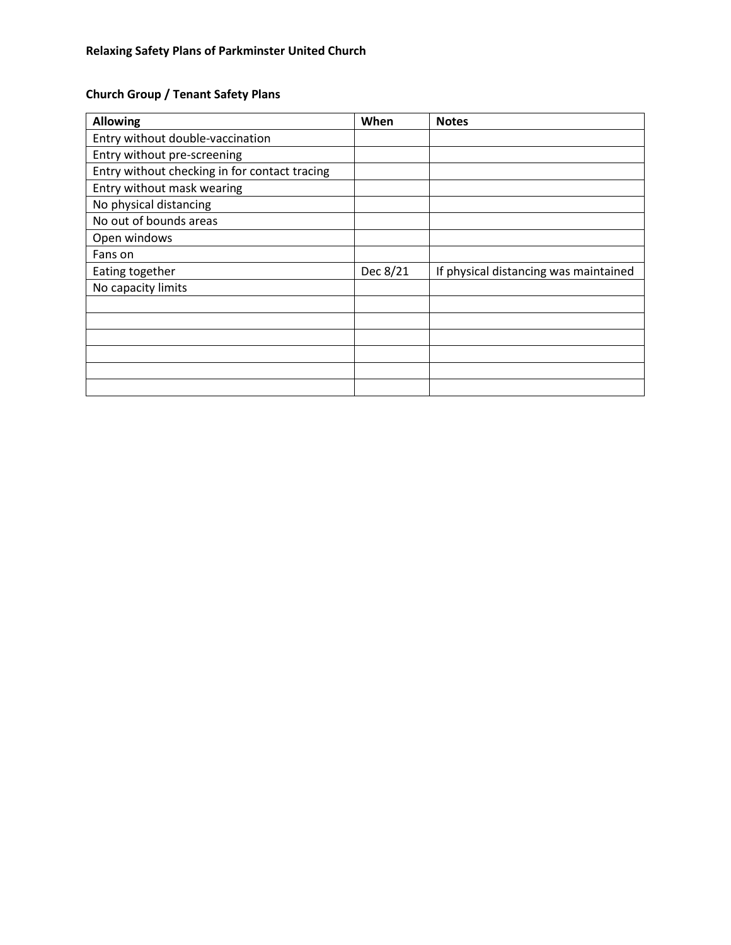# **Church Group / Tenant Safety Plans**

| <b>Allowing</b>                               | When     | <b>Notes</b>                          |
|-----------------------------------------------|----------|---------------------------------------|
| Entry without double-vaccination              |          |                                       |
| Entry without pre-screening                   |          |                                       |
| Entry without checking in for contact tracing |          |                                       |
| Entry without mask wearing                    |          |                                       |
| No physical distancing                        |          |                                       |
| No out of bounds areas                        |          |                                       |
| Open windows                                  |          |                                       |
| Fans on                                       |          |                                       |
| Eating together                               | Dec 8/21 | If physical distancing was maintained |
| No capacity limits                            |          |                                       |
|                                               |          |                                       |
|                                               |          |                                       |
|                                               |          |                                       |
|                                               |          |                                       |
|                                               |          |                                       |
|                                               |          |                                       |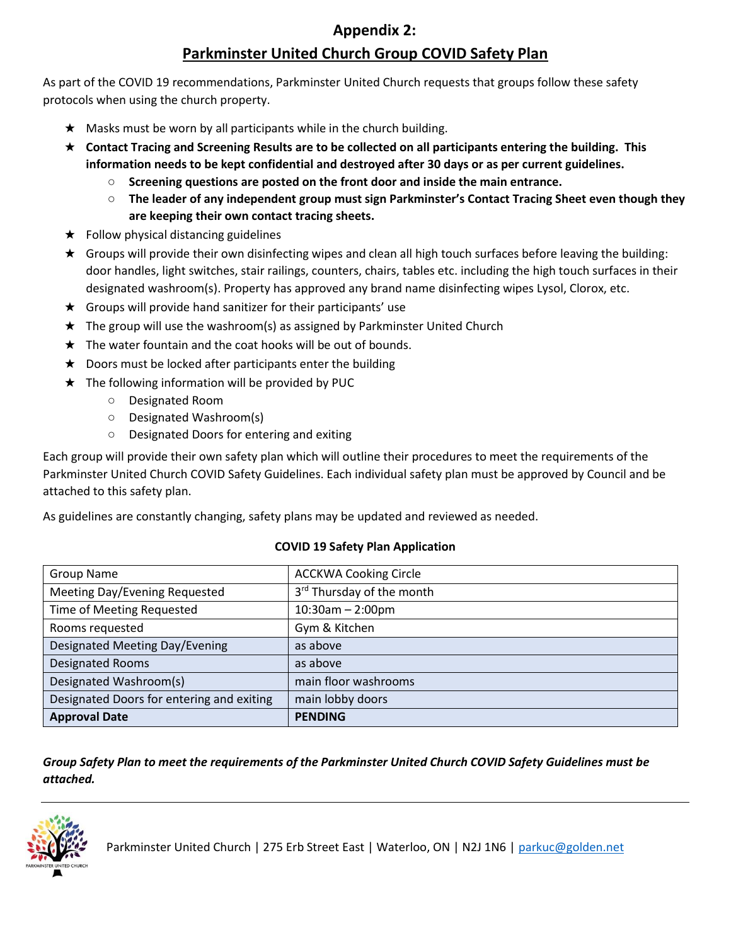# **Appendix 2:**

# **Parkminster United Church Group COVID Safety Plan**

As part of the COVID 19 recommendations, Parkminster United Church requests that groups follow these safety protocols when using the church property.

- $\star$  Masks must be worn by all participants while in the church building.
- ★ **Contact Tracing and Screening Results are to be collected on all participants entering the building. This information needs to be kept confidential and destroyed after 30 days or as per current guidelines.**
	- **Screening questions are posted on the front door and inside the main entrance.**
	- **The leader of any independent group must sign Parkminster's Contact Tracing Sheet even though they are keeping their own contact tracing sheets.**
- $\star$  Follow physical distancing guidelines
- ★ Groups will provide their own disinfecting wipes and clean all high touch surfaces before leaving the building: door handles, light switches, stair railings, counters, chairs, tables etc. including the high touch surfaces in their designated washroom(s). Property has approved any brand name disinfecting wipes Lysol, Clorox, etc.
- $\star$  Groups will provide hand sanitizer for their participants' use
- ★ The group will use the washroom(s) as assigned by Parkminster United Church
- $\star$  The water fountain and the coat hooks will be out of bounds.
- $\star$  Doors must be locked after participants enter the building
- $\star$  The following information will be provided by PUC
	- Designated Room
	- Designated Washroom(s)
	- Designated Doors for entering and exiting

Each group will provide their own safety plan which will outline their procedures to meet the requirements of the Parkminster United Church COVID Safety Guidelines. Each individual safety plan must be approved by Council and be attached to this safety plan.

As guidelines are constantly changing, safety plans may be updated and reviewed as needed.

#### **COVID 19 Safety Plan Application**

| <b>Group Name</b>                         | <b>ACCKWA Cooking Circle</b> |
|-------------------------------------------|------------------------------|
| Meeting Day/Evening Requested             | 3rd Thursday of the month    |
| Time of Meeting Requested                 | $10:30$ am - 2:00pm          |
| Rooms requested                           | Gym & Kitchen                |
| Designated Meeting Day/Evening            | as above                     |
| <b>Designated Rooms</b>                   | as above                     |
| Designated Washroom(s)                    | main floor washrooms         |
| Designated Doors for entering and exiting | main lobby doors             |
| <b>Approval Date</b>                      | <b>PENDING</b>               |

*Group Safety Plan to meet the requirements of the Parkminster United Church COVID Safety Guidelines must be attached.* 



Parkminster United Church | 275 Erb Street East | Waterloo, ON | N2J 1N6 | parkuc@golden.net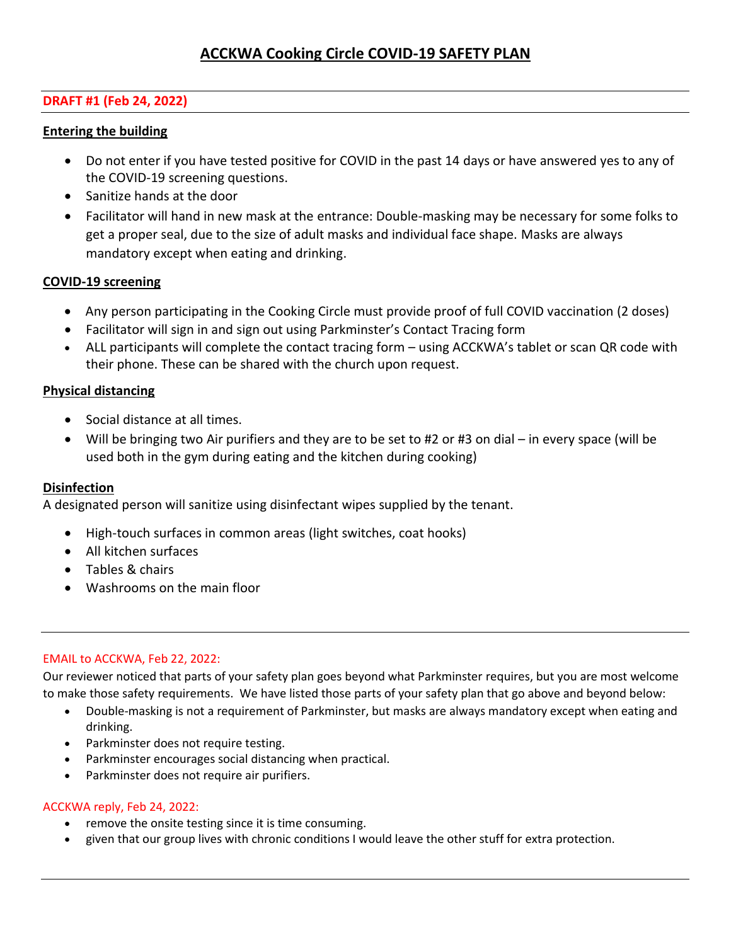## **DRAFT #1 (Feb 24, 2022)**

#### **Entering the building**

- Do not enter if you have tested positive for COVID in the past 14 days or have answered yes to any of the COVID-19 screening questions.
- Sanitize hands at the door
- Facilitator will hand in new mask at the entrance: Double-masking may be necessary for some folks to get a proper seal, due to the size of adult masks and individual face shape. Masks are always mandatory except when eating and drinking.

## **COVID-19 screening**

- Any person participating in the Cooking Circle must provide proof of full COVID vaccination (2 doses)
- Facilitator will sign in and sign out using Parkminster's Contact Tracing form
- ALL participants will complete the contact tracing form using ACCKWA's tablet or scan QR code with their phone. These can be shared with the church upon request.

## **Physical distancing**

- Social distance at all times.
- Will be bringing two Air purifiers and they are to be set to #2 or #3 on dial in every space (will be used both in the gym during eating and the kitchen during cooking)

#### **Disinfection**

A designated person will sanitize using disinfectant wipes supplied by the tenant.

- High-touch surfaces in common areas (light switches, coat hooks)
- All kitchen surfaces
- Tables & chairs
- Washrooms on the main floor

#### EMAIL to ACCKWA, Feb 22, 2022:

Our reviewer noticed that parts of your safety plan goes beyond what Parkminster requires, but you are most welcome to make those safety requirements. We have listed those parts of your safety plan that go above and beyond below:

- Double-masking is not a requirement of Parkminster, but masks are always mandatory except when eating and drinking.
- Parkminster does not require testing.
- Parkminster encourages social distancing when practical.
- Parkminster does not require air purifiers.

#### ACCKWA reply, Feb 24, 2022:

- remove the onsite testing since it is time consuming.
- given that our group lives with chronic conditions I would leave the other stuff for extra protection.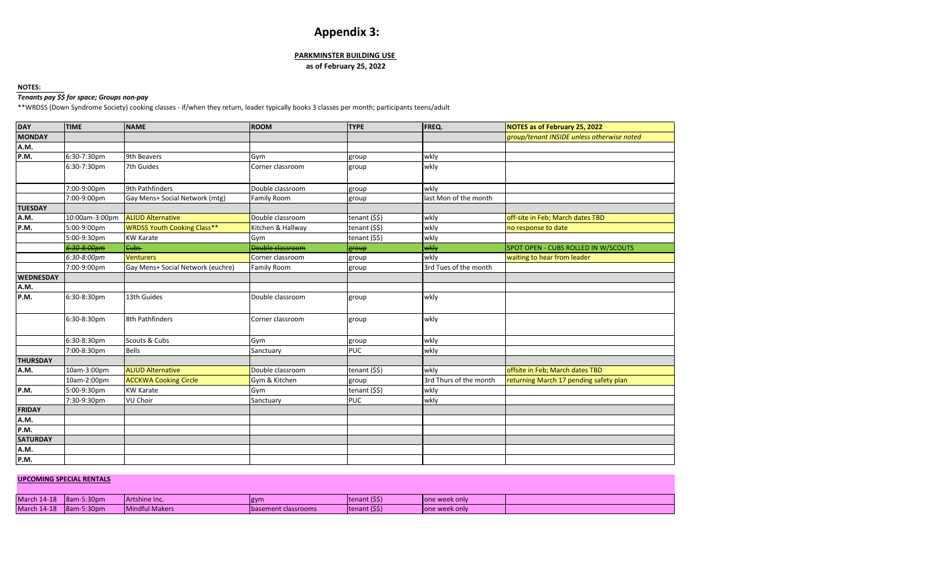# **Appendix 3:**

#### **PARKMINSTER BUILDING USE**

#### **as of February 25, 2022**

#### **NOTES:**

#### *Tenants pay \$\$ for space; Groups non-pay*

\*\*WRDSS (Down Syndrome Society) cooking classes - if/when they return, leader typically books 3 classes per month; participants teens/adult

| <b>DAY</b>       | <b>TIME</b>    | <b>NAME</b>                        | <b>ROOM</b>             | <b>TYPE</b>                           | FREQ.                  | NOTES as of February 25, 2022              |
|------------------|----------------|------------------------------------|-------------------------|---------------------------------------|------------------------|--------------------------------------------|
| <b>MONDAY</b>    |                |                                    |                         |                                       |                        | group/tenant INSIDE unless otherwise noted |
| A.M.             |                |                                    |                         |                                       |                        |                                            |
| P.M.             | 6:30-7:30pm    | 9th Beavers                        | Gym                     | group                                 | wkly                   |                                            |
|                  | 6:30-7:30pm    | 7th Guides                         | Corner classroom        | group                                 | wkly                   |                                            |
|                  |                |                                    |                         |                                       |                        |                                            |
|                  | 7:00-9:00pm    | 9th Pathfinders                    | Double classroom        | group                                 | wkly                   |                                            |
|                  | 7:00-9:00pm    | Gay Mens+ Social Network (mtg)     | <b>Family Room</b>      | group                                 | last Mon of the month  |                                            |
| <b>TUESDAY</b>   |                |                                    |                         |                                       |                        |                                            |
| A.M.             | 10:00am-3:00pm | <b>ALIUD Alternative</b>           | Double classroom        | tenant (\$\$)                         | wkly                   | off-site in Feb; March dates TBD           |
| P.M.             | 5:00-9:00pm    | <b>WRDSS Youth Cooking Class**</b> | Kitchen & Hallway       | tenant (\$\$)                         | wkly                   | no response to date                        |
|                  | 5:00-9:30pm    | <b>KW Karate</b>                   | Gym                     | tenant (\$\$)                         | wkly                   |                                            |
|                  | 6:30-8:00pm    | Cubs-                              | <b>Double classroom</b> | group                                 | wkly                   | SPOT OPEN - CUBS ROLLED IN W/SCOUTS        |
|                  | 6:30-8:00pm    | <b>Venturers</b>                   | Corner classroom        | group                                 | wkly                   | waiting to hear from leader                |
|                  | 7:00-9:00pm    | Gay Mens+ Social Network (euchre)  | Family Room             | group                                 | 3rd Tues of the month  |                                            |
| <b>WEDNESDAY</b> |                |                                    |                         |                                       |                        |                                            |
| A.M.             |                |                                    |                         |                                       |                        |                                            |
| P.M.             | 6:30-8:30pm    | 13th Guides                        | Double classroom        | group                                 | wkly                   |                                            |
|                  | 6:30-8:30pm    | 8th Pathfinders                    | Corner classroom        | group                                 | wkly                   |                                            |
|                  | 6:30-8:30pm    | Scouts & Cubs                      | Gym                     | group                                 | wkly                   |                                            |
|                  | 7:00-8:30pm    | Bells                              | Sanctuary               | PUC                                   | wkly                   |                                            |
| <b>THURSDAY</b>  |                |                                    |                         |                                       |                        |                                            |
| A.M.             | 10am-3:00pm    | <b>ALIUD Alternative</b>           | Double classroom        | tenant (\$\$)                         | wkly                   | offsite in Feb; March dates TBD            |
|                  | 10am-2:00pm    | <b>ACCKWA Cooking Circle</b>       | Gym & Kitchen           | group                                 | 3rd Thurs of the month | returning March 17 pending safety plan     |
| P.M.             | 5:00-9:30pm    | <b>KW Karate</b>                   | Gym                     | tenant $(\overline{\$}\overline{\$})$ | wkly                   |                                            |
|                  | 7:30-9:30pm    | VU Choir                           | Sanctuary               | <b>PUC</b>                            | wkly                   |                                            |
| <b>FRIDAY</b>    |                |                                    |                         |                                       |                        |                                            |
| A.M.             |                |                                    |                         |                                       |                        |                                            |
| P.M.             |                |                                    |                         |                                       |                        |                                            |
| <b>SATURDAY</b>  |                |                                    |                         |                                       |                        |                                            |
| A.M.             |                |                                    |                         |                                       |                        |                                            |
| P.M.             |                |                                    |                         |                                       |                        |                                            |

#### **UPCOMING SPECIAL RENTALS**

| <b>March 14-18</b> | $-5:30pm$<br>$18am-$  | Artshine Inc.  | gym                         | Itenant (SS)  | Tone week only |  |
|--------------------|-----------------------|----------------|-----------------------------|---------------|----------------|--|
| <b>March 14-18</b> | $-5:30$ pm<br>$18am-$ | Mindful Makers | <b>Ibasement classrooms</b> | tenant (\$\$) | one week only  |  |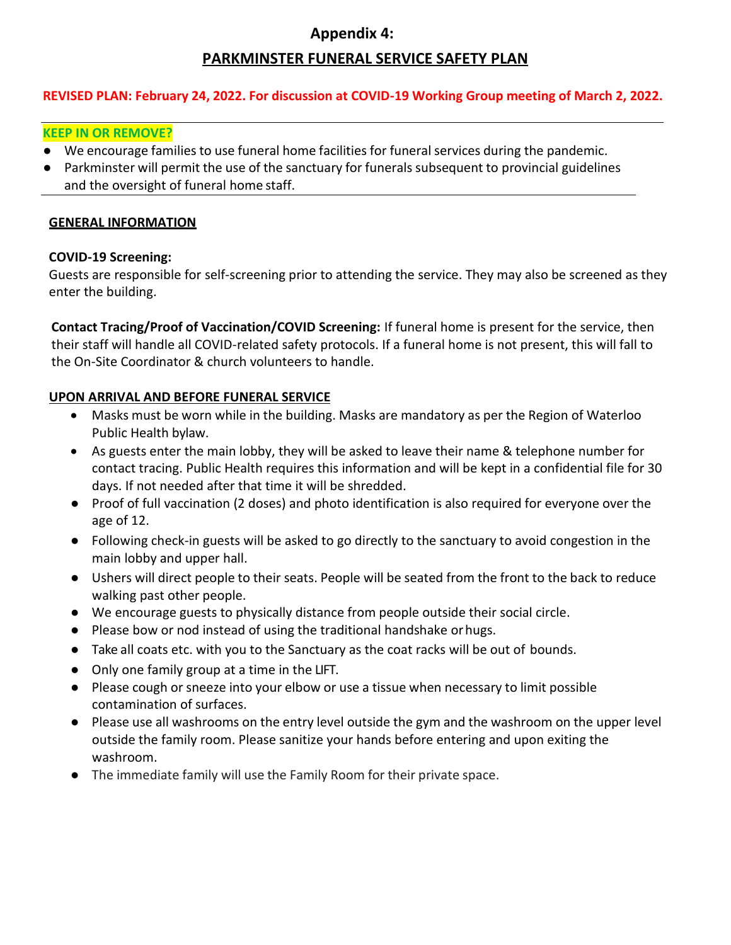# **Appendix 4:**

# **PARKMINSTER FUNERAL SERVICE SAFETY PLAN**

## **REVISED PLAN: February 24, 2022. For discussion at COVID-19 Working Group meeting of March 2, 2022.**

## **KEEP IN OR REMOVE?**

- **●** We encourage families to use funeral home facilities for funeral services during the pandemic.
- **●** Parkminster will permit the use of the sanctuary for funerals subsequent to provincial guidelines and the oversight of funeral home staff.

## **GENERAL INFORMATION**

## **COVID-19 Screening:**

Guests are responsible for self-screening prior to attending the service. They may also be screened as they enter the building.

**Contact Tracing/Proof of Vaccination/COVID Screening:** If funeral home is present for the service, then their staff will handle all COVID-related safety protocols. If a funeral home is not present, this will fall to the On-Site Coordinator & church volunteers to handle.

## **UPON ARRIVAL AND BEFORE FUNERAL SERVICE**

- Masks must be worn while in the building. Masks are mandatory as per the Region of Waterloo Public Health bylaw.
- As guests enter the main lobby, they will be asked to leave their name & telephone number for contact tracing. Public Health requires this information and will be kept in a confidential file for 30 days. If not needed after that time it will be shredded.
- Proof of full vaccination (2 doses) and photo identification is also required for everyone over the age of 12.
- Following check-in guests will be asked to go directly to the sanctuary to avoid congestion in the main lobby and upper hall.
- Ushers will direct people to their seats. People will be seated from the front to the back to reduce walking past other people.
- We encourage guests to physically distance from people outside their social circle.
- Please bow or nod instead of using the traditional handshake orhugs.
- Take all coats etc. with you to the Sanctuary as the coat racks will be out of bounds.
- Only one family group at a time in the LIFT.
- Please cough or sneeze into your elbow or use a tissue when necessary to limit possible contamination of surfaces.
- Please use all washrooms on the entry level outside the gym and the washroom on the upper level outside the family room. Please sanitize your hands before entering and upon exiting the washroom.
- The immediate family will use the Family Room for their private space.